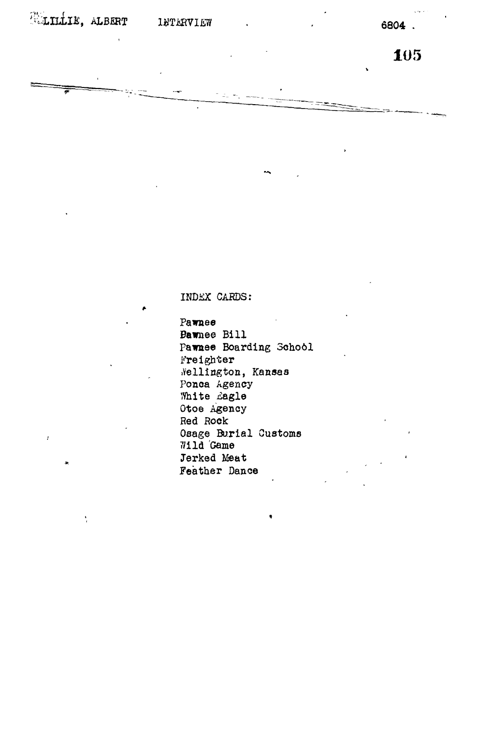**ELILLIE**, ALBERT

ŧ.

**INTERVIEW** 

6804.

105

INDEX CARDS:

Pawnee **Bawnee Bill** Pawnee Boarding School Freighter Nellington, Kansas Ponca Agency White Eagle Otoe Agency Red Rock Osage Burial Customs 711d Game Jerked Meat Feather Dance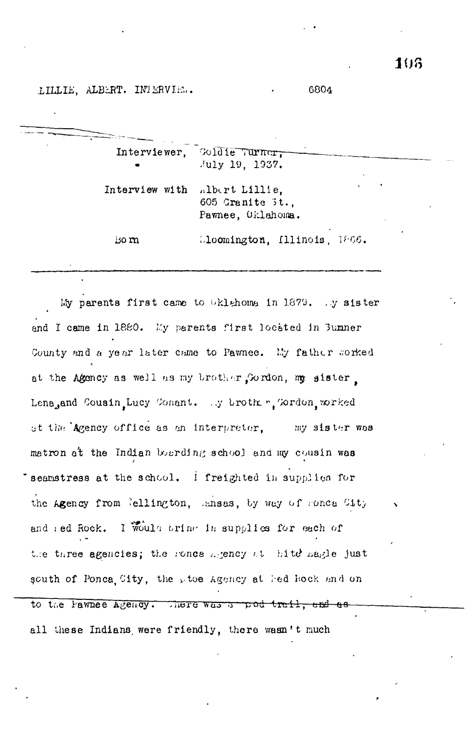LILLIE, ALBERT. INTERVIE..

|                | Interviewer, Goldie Turner,<br>$July$ 19, 1937.         |
|----------------|---------------------------------------------------------|
| Interview with | albert Lillie,<br>605 Granite 3t.,<br>Pawnee, Oklahoma. |
| Bom            | Lloomington, Illinois, 1866.                            |

My parents first came to Oklahoma in 1879. Ay sister end I came in 1880. My parents first located in Bumner County and a year later came to Pawnee. My father worked at the Agency as well as my brother, Gordon, my sister, Lena, and Cousin, Lucy Conant. .y broth r, Tordon, worked at the Agency office as an interpreter, my sister was matron at the Indian boarding school and my cousin was seamstress at the school. I freighted in supplies for the Agency from *ellington*, ansas, by way of sonca City and red Rock. I Would bring in supplies for each of the three agencies; the ronce higency at hite nagle just south of Ponca City, the ptoe Agency at led Rock and on to the Pawnee Agency. There was a pod trail, and as

all these Indians were friendly, there wasn't much

6804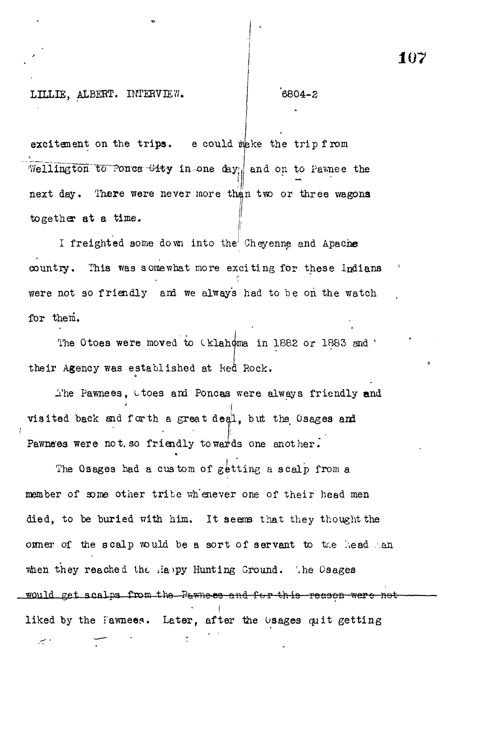# **107**

# LILLIE, ALBERT. INTERVIEW. | 6804-2

م س

excitement on the trips. e could make the trip from Wellington to Ponca Gity in-one day and on to Pawnee the *1* next day. There were never more than two or three wagons next day. There were never more than tvro or the tvro or three wagons  $\mathbb{R}^n$ 

I freighted some down into the Cheyenne and Apache country. This was somewhat more exciting for these Indians were not so friendly and we alway's had to be on the watch we always had to friendly and we always had to be on the watch  $\alpha$ 

The Otoes were moved to Cklahoma in 1882 or 1883 and ' The Otoes were moved to Iklahoma in 1882 or 1883 and '

their Agency was established at lied Rock. The Pawnees, ttoes and Poncas were always friendly and visited back and forth a great deal, but the Osages and Pawne's were not so friendly to wards one another.

The Osages had a custom of getting a scalp from a member of some other tribe whenever one of their head men died, to be buried with him. It seems that they thought the off one of the scalp would be a sort of servant to the head han when they reached the slappy Hunting Ground. The Osages would get scalps from the Pawness and for this reason were not **I** liked by the fawnees. Later, after the  $\upsilon$ sages quit getting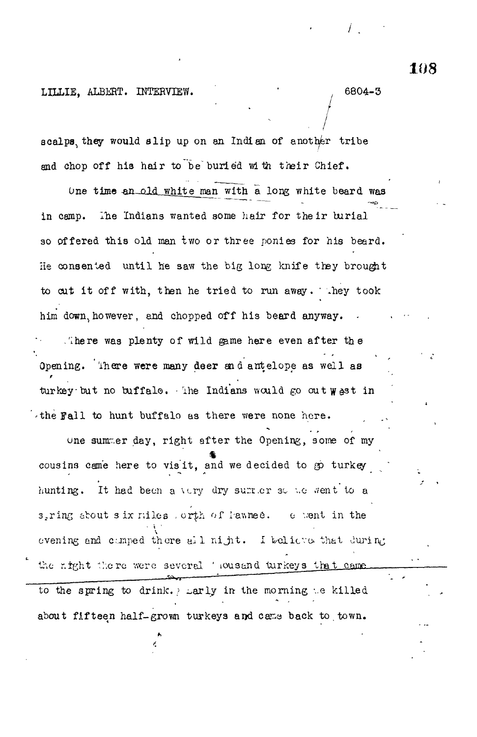# LILLIE, ALBERT. INTERVIEW. (6804-3

scalps, they would slip up on an Indian of another tribe and chop off his hair to be buried with their Chief.

One time an old white man with a long white beard was in camp. The Indians wanted some hair for their burial so offered this old man two or three ponies for his beard. He consented until he saw the big long knife they brought to cut it off with, then he tried to run away. They took him' down, however, and chopped off his beard anyway. . There was plenty of wild game here even after the Opening, 'inere **were** many **deer** end antelope as well as turkey but no buffalo. The Indians would go out wast in 'the Fall to hunt buffalo as there were none here.

une sunr.er day, right after the Opening, some of my cousins came here to visit, and we decided to go turkey hunting. It had been a very dry surrer so we went to a 3.ring about s ix riles , orth of lawnee. 0 went in the evening and comped there all night. I believe that Juring the right there were severel ' iousand turkeys that came to the spring to drink. ? Larly in the morning we killed about fifteen half-grown turkeys and came back to town.

**108**

*r*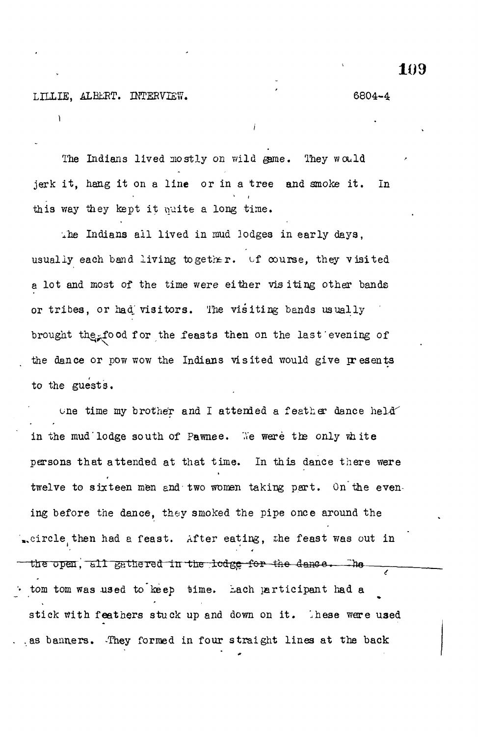# LILLIE, ALEERT. INTERVIEW. (6804-4

The Indians lived mostly on wild game. They would jerk it, hang it on a line or in a tree and smoke it. In this way they kept it puite a long time.

xhe Indians all lived in mud lodges in early days, usually each band living together. of course, they visited a lot and most of the time were either visiting other bands or tribes, or had visitors. The visiting bands usually brought the food for the feasts then on the last'evening of the dance or pow wow the Indians visited would give presents to the guests.

one time my brother and I attended a feather dance held in the mud'lodge south of Pawnee. We were the only white persons that attended at that time. In this dance there were twelve to sixteen men and'two women taking part. On the evening before the dance, they smoked the pipe once around the ..circle then had a feast. After eating, the feast was out in 4 the open,  $517$  gathered in the lodge for the dance. The tom tom was used to keep time. Lach participant had a stick with feathers stuck up and down on it. These were used ... as banners. They formed in four straight lines at the back

**109**